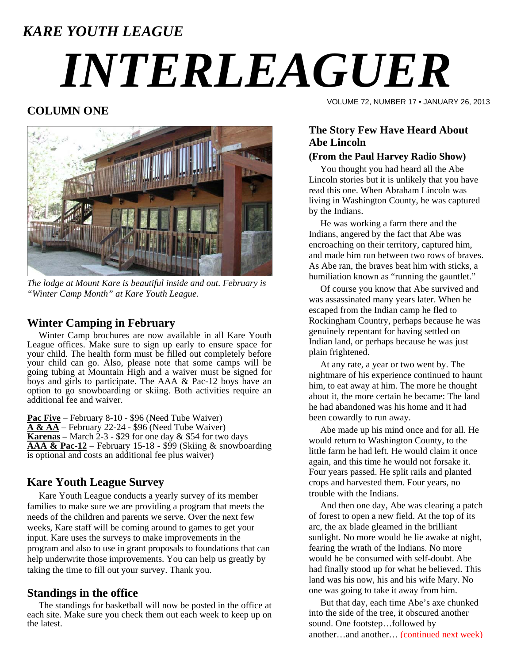# *KARE YOUTH LEAGUE INTERLEAGUER*

# **COLUMN ONE**



*The lodge at Mount Kare is beautiful inside and out. February is "Winter Camp Month" at Kare Youth League.* 

#### **Winter Camping in February**

 Winter Camp brochures are now available in all Kare Youth League offices. Make sure to sign up early to ensure space for your child. The health form must be filled out completely before your child can go. Also, please note that some camps will be going tubing at Mountain High and a waiver must be signed for boys and girls to participate. The AAA & Pac-12 boys have an option to go snowboarding or skiing. Both activities require an additional fee and waiver.

**Pac Five** – February 8-10 - \$96 (Need Tube Waiver) **A & AA** – February 22-24 - \$96 (Need Tube Waiver) **Karenas** – March 2-3 - \$29 for one day & \$54 for two days **AAA & Pac-12** – February 15-18 - \$99 (Skiing & snowboarding is optional and costs an additional fee plus waiver)

## **Kare Youth League Survey**

 Kare Youth League conducts a yearly survey of its member families to make sure we are providing a program that meets the needs of the children and parents we serve. Over the next few weeks, Kare staff will be coming around to games to get your input. Kare uses the surveys to make improvements in the program and also to use in grant proposals to foundations that can help underwrite those improvements. You can help us greatly by taking the time to fill out your survey. Thank you.

#### **Standings in the office**

 The standings for basketball will now be posted in the office at each site. Make sure you check them out each week to keep up on the latest.

VOLUME 72, NUMBER 17 • JANUARY 26, 2013

## **The Story Few Have Heard About Abe Lincoln**

#### **(From the Paul Harvey Radio Show)**

 You thought you had heard all the Abe Lincoln stories but it is unlikely that you have read this one. When Abraham Lincoln was living in Washington County, he was captured by the Indians.

 He was working a farm there and the Indians, angered by the fact that Abe was encroaching on their territory, captured him, and made him run between two rows of braves. As Abe ran, the braves beat him with sticks, a humiliation known as "running the gauntlet."

 Of course you know that Abe survived and was assassinated many years later. When he escaped from the Indian camp he fled to Rockingham Country, perhaps because he was genuinely repentant for having settled on Indian land, or perhaps because he was just plain frightened.

 At any rate, a year or two went by. The nightmare of his experience continued to haunt him, to eat away at him. The more he thought about it, the more certain he became: The land he had abandoned was his home and it had been cowardly to run away.

 Abe made up his mind once and for all. He would return to Washington County, to the little farm he had left. He would claim it once again, and this time he would not forsake it. Four years passed. He split rails and planted crops and harvested them. Four years, no trouble with the Indians.

 And then one day, Abe was clearing a patch of forest to open a new field. At the top of its arc, the ax blade gleamed in the brilliant sunlight. No more would he lie awake at night, fearing the wrath of the Indians. No more would he be consumed with self-doubt. Abe had finally stood up for what he believed. This land was his now, his and his wife Mary. No one was going to take it away from him.

 But that day, each time Abe's axe chunked into the side of the tree, it obscured another sound. One footstep…followed by another…and another… (continued next week)